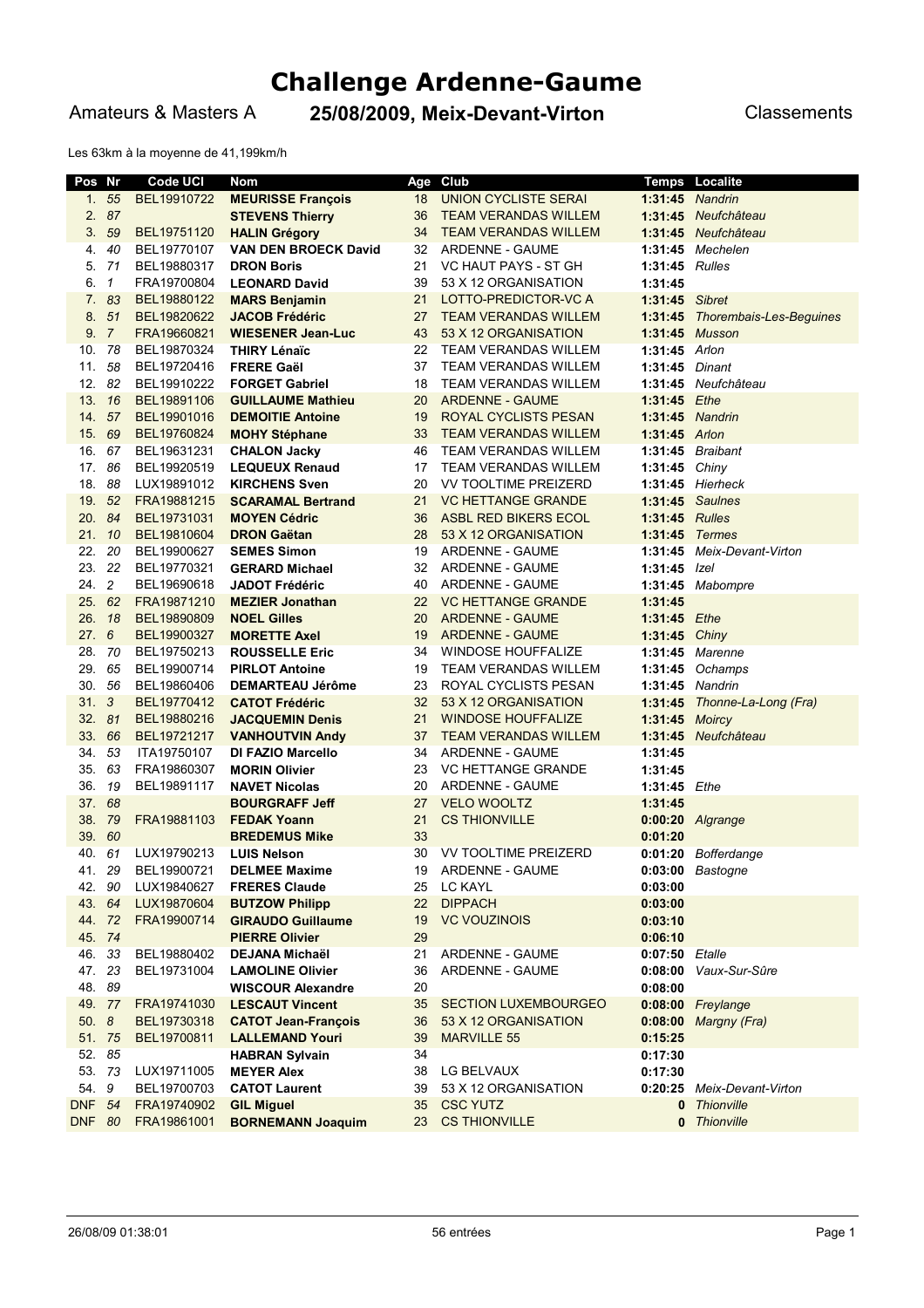# **Challenge Ardenne-Gaume**

Amateurs & Masters A **25/08/2009, Meix-Devant-Virton** Classements

Les 63km à la moyenne de 41,199km/h

| Pos           | Nr             | <b>Code UCI</b> | Nom                         | Age | Club                        |                | <b>Temps Localite</b>      |
|---------------|----------------|-----------------|-----------------------------|-----|-----------------------------|----------------|----------------------------|
| 1.            | 55             | BEL19910722     | <b>MEURISSE François</b>    | 18  | <b>UNION CYCLISTE SERAI</b> |                | 1:31:45 Nandrin            |
| 2.            | 87             |                 | <b>STEVENS Thierry</b>      | 36  | <b>TEAM VERANDAS WILLEM</b> |                | 1:31:45 Neufchâteau        |
| 3.            | 59             | BEL19751120     | <b>HALIN Grégory</b>        | 34  | <b>TEAM VERANDAS WILLEM</b> | 1:31:45        | Neufchâteau                |
| 4.            | 40             | BEL19770107     | <b>VAN DEN BROECK David</b> | 32  | ARDENNE - GAUME             |                | $1:31:45$ Mechelen         |
| 5.            | - 71           | BEL19880317     | <b>DRON Boris</b>           | 21  | VC HAUT PAYS - ST GH        | 1:31:45 Rulles |                            |
| 6.            | $\mathbf{1}$   | FRA19700804     | <b>LEONARD David</b>        | 39  | 53 X 12 ORGANISATION        | 1:31:45        |                            |
| 7.            | 83             | BEL19880122     | <b>MARS Benjamin</b>        | 21  | LOTTO-PREDICTOR-VC A        | 1:31:45 Sibret |                            |
| 8.            | 51             | BEL19820622     | <b>JACOB Frédéric</b>       | 27  | <b>TEAM VERANDAS WILLEM</b> | 1:31:45        | Thorembais-Les-Beguines    |
| 9.7           |                | FRA19660821     | <b>WIESENER Jean-Luc</b>    | 43  | 53 X 12 ORGANISATION        |                | 1:31:45 Musson             |
| 10. 78        |                | BEL19870324     | THIRY Lénaïc                | 22  | TEAM VERANDAS WILLEM        | 1:31:45 Arlon  |                            |
| 11.           | 58             | BEL19720416     | <b>FRERE Gaël</b>           | 37  | <b>TEAM VERANDAS WILLEM</b> | 1:31:45 Dinant |                            |
| 12.           | 82             | BEL19910222     | <b>FORGET Gabriel</b>       | 18  | <b>TEAM VERANDAS WILLEM</b> |                | 1:31:45 Neufchâteau        |
| 13.           | - 16           | BEL19891106     | <b>GUILLAUME Mathieu</b>    | 20  | <b>ARDENNE - GAUME</b>      | 1:31:45        | Ethe                       |
| 14.           | 57             | BEL19901016     | <b>DEMOITIE Antoine</b>     | 19  | ROYAL CYCLISTS PESAN        |                | 1:31:45 Nandrin            |
| 15.           | 69             | BEL19760824     | <b>MOHY Stéphane</b>        | 33  | <b>TEAM VERANDAS WILLEM</b> | 1:31:45 Arlon  |                            |
| 16.           | 67             | BEL19631231     | <b>CHALON Jacky</b>         | 46  | <b>TEAM VERANDAS WILLEM</b> |                | 1:31:45 Braibant           |
| 17.           | 86             | BEL19920519     | <b>LEQUEUX Renaud</b>       | 17  | TEAM VERANDAS WILLEM        | 1:31:45 Chiny  |                            |
| 18.           | 88             | LUX19891012     | <b>KIRCHENS Sven</b>        | 20  | VV TOOLTIME PREIZERD        |                | 1:31:45 Hierheck           |
| 19. 52        |                | FRA19881215     | <b>SCARAMAL Bertrand</b>    | 21  | <b>VC HETTANGE GRANDE</b>   |                | 1:31:45 Saulnes            |
| 20. 84        |                | BEL19731031     | <b>MOYEN Cédric</b>         | 36  | ASBL RED BIKERS ECOL        | 1:31:45 Rulles |                            |
| 21.           | 10             | BEL19810604     | <b>DRON Gaëtan</b>          | 28  | 53 X 12 ORGANISATION        | 1:31:45 Termes |                            |
| 22.           | 20             | BEL19900627     | <b>SEMES Simon</b>          | 19  | ARDENNE - GAUME             |                | 1:31:45 Meix-Devant-Virton |
| 23.           | 22             | BEL19770321     | <b>GERARD Michael</b>       | 32  | ARDENNE - GAUME             | 1:31:45        | Izel                       |
| 24.           | $\overline{c}$ | BEL19690618     | <b>JADOT Frédéric</b>       | 40  | ARDENNE - GAUME             |                | 1:31:45 Mabompre           |
| 25. 62        |                | FRA19871210     | <b>MEZIER Jonathan</b>      | 22  | <b>VC HETTANGE GRANDE</b>   | 1:31:45        |                            |
| 26.           | 18             | BEL19890809     | <b>NOEL Gilles</b>          | 20  | <b>ARDENNE - GAUME</b>      | 1:31:45 Ethe   |                            |
| 27.6          |                | BEL19900327     | <b>MORETTE Axel</b>         | 19  | <b>ARDENNE - GAUME</b>      | 1:31:45 Chiny  |                            |
| 28.           | - 70           | BEL19750213     | <b>ROUSSELLE Eric</b>       | 34  | WINDOSE HOUFFALIZE          |                | 1:31:45 Marenne            |
| 29.           | 65             | BEL19900714     | <b>PIRLOT Antoine</b>       | 19  | TEAM VERANDAS WILLEM        |                | 1:31:45 Ochamps            |
| 30.           | - 56           | BEL19860406     | <b>DEMARTEAU Jérôme</b>     | 23  | ROYAL CYCLISTS PESAN        |                | 1:31:45 Nandrin            |
| 31.           | 3              | BEL19770412     | <b>CATOT Frédéric</b>       | 32  | 53 X 12 ORGANISATION        | 1:31:45        | Thonne-La-Long (Fra)       |
| 32.           | 81             | BEL19880216     | <b>JACQUEMIN Denis</b>      | 21  | <b>WINDOSE HOUFFALIZE</b>   | 1:31:45 Moircy |                            |
| 33.           | 66             | BEL19721217     | <b>VANHOUTVIN Andy</b>      | 37  | <b>TEAM VERANDAS WILLEM</b> |                | 1:31:45 Neufchâteau        |
| 34.           | 53             | ITA19750107     | DI FAZIO Marcello           | 34  | ARDENNE - GAUME             | 1:31:45        |                            |
| 35.           | 63             | FRA19860307     | <b>MORIN Olivier</b>        | 23  | <b>VC HETTANGE GRANDE</b>   | 1:31:45        |                            |
| 36.           | 19             | BEL19891117     | <b>NAVET Nicolas</b>        | 20  | ARDENNE - GAUME             | 1:31:45 Ethe   |                            |
| 37.           | 68             |                 | <b>BOURGRAFF Jeff</b>       | 27  | <b>VELO WOOLTZ</b>          | 1:31:45        |                            |
| 38.           | 79             | FRA19881103     | <b>FEDAK Yoann</b>          | 21  | <b>CS THIONVILLE</b>        |                | 0:00:20 Algrange           |
| 39.           | 60             |                 | <b>BREDEMUS Mike</b>        | 33  |                             | 0:01:20        |                            |
| 40. 61        |                | LUX19790213     | <b>LUIS Nelson</b>          | 30  | <b>VV TOOLTIME PREIZERD</b> |                | 0:01:20 Bofferdange        |
| 41.           | 29             | BEL19900721     | <b>DELMEE Maxime</b>        | 19  | ARDENNE - GAUME             |                | 0:03:00 Bastogne           |
| 42. 90        |                | LUX19840627     | <b>FRERES Claude</b>        | 25  | LC KAYL                     | 0:03:00        |                            |
| 43. 64        |                | LUX19870604     | <b>BUTZOW Philipp</b>       | 22  | <b>DIPPACH</b>              | 0:03:00        |                            |
| 44. 72        |                | FRA19900714     | <b>GIRAUDO Guillaume</b>    | 19  | <b>VC VOUZINOIS</b>         | 0:03:10        |                            |
| 45. 74        |                |                 | <b>PIERRE Olivier</b>       | 29  |                             | 0:06:10        |                            |
| 46. 33        |                | BEL19880402     | <b>DEJANA Michaël</b>       | 21  | ARDENNE - GAUME             | 0:07:50 Etalle |                            |
| 47. 23        |                | BEL19731004     | <b>LAMOLINE Olivier</b>     | 36  | ARDENNE - GAUME             |                | 0:08:00 Vaux-Sur-Sûre      |
| 48. 89        |                |                 | <b>WISCOUR Alexandre</b>    | 20  |                             | 0:08:00        |                            |
| 49. 77        |                | FRA19741030     | <b>LESCAUT Vincent</b>      | 35  | <b>SECTION LUXEMBOURGEO</b> |                | 0:08:00 Freylange          |
| 50.8          |                | BEL19730318     | <b>CATOT Jean-François</b>  | 36  | 53 X 12 ORGANISATION        |                | 0:08:00 Margny (Fra)       |
| 51. 75        |                | BEL19700811     | <b>LALLEMAND Youri</b>      | 39  | <b>MARVILLE 55</b>          | 0:15:25        |                            |
| 52. 85        |                |                 | <b>HABRAN Sylvain</b>       | 34  |                             | 0:17:30        |                            |
| 53. 73        |                | LUX19711005     | <b>MEYER Alex</b>           | 38  | LG BELVAUX                  | 0:17:30        |                            |
| 54. 9         |                | BEL19700703     | <b>CATOT Laurent</b>        | 39  | 53 X 12 ORGANISATION        |                | 0:20:25 Meix-Devant-Virton |
| <b>DNF 54</b> |                | FRA19740902     | <b>GIL Miguel</b>           | 35  | <b>CSC YUTZ</b>             |                | 0 Thionville               |
| <b>DNF 80</b> |                | FRA19861001     | <b>BORNEMANN Joaquim</b>    | 23  | <b>CS THIONVILLE</b>        |                | 0 Thionville               |